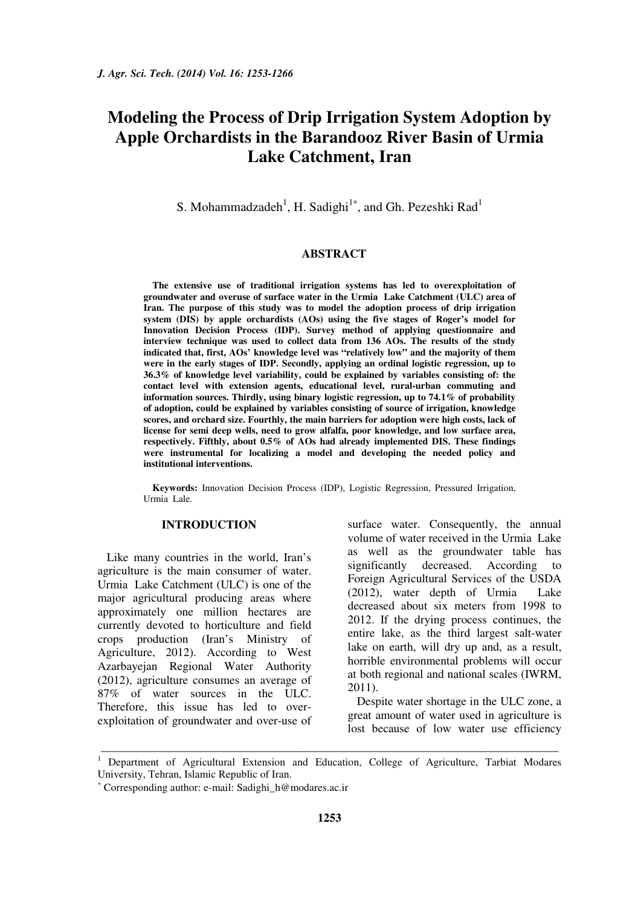# **Modeling the Process of Drip Irrigation System Adoption by Apple Orchardists in the Barandooz River Basin of Urmia Lake Catchment, Iran**

S. Mohammadzadeh<sup>1</sup>, H. Sadighi<sup>1\*</sup>, and Gh. Pezeshki Rad<sup>1</sup>

#### **ABSTRACT**

**The extensive use of traditional irrigation systems has led to overexploitation of groundwater and overuse of surface water in the Urmia Lake Catchment (ULC) area of Iran. The purpose of this study was to model the adoption process of drip irrigation system (DIS) by apple orchardists (AOs) using the five stages of Roger's model for Innovation Decision Process (IDP). Survey method of applying questionnaire and interview technique was used to collect data from 136 AOs. The results of the study indicated that, first, AOs' knowledge level was "relatively low" and the majority of them were in the early stages of IDP. Secondly, applying an ordinal logistic regression, up to 36.3% of knowledge level variability, could be explained by variables consisting of: the contact level with extension agents, educational level, rural-urban commuting and information sources. Thirdly, using binary logistic regression, up to 74.1% of probability of adoption, could be explained by variables consisting of source of irrigation, knowledge scores, and orchard size. Fourthly, the main barriers for adoption were high costs, lack of license for semi deep wells, need to grow alfalfa, poor knowledge, and low surface area, respectively. Fifthly, about 0.5% of AOs had already implemented DIS. These findings were instrumental for localizing a model and developing the needed policy and institutional interventions.** 

**Keywords:** Innovation Decision Process (IDP), Logistic Regression, Pressured Irrigation, Urmia Lale.

## **INTRODUCTION**

Like many countries in the world, Iran's agriculture is the main consumer of water. Urmia Lake Catchment (ULC) is one of the major agricultural producing areas where approximately one million hectares are currently devoted to horticulture and field crops production (Iran's Ministry of Agriculture, 2012). According to West Azarbayejan Regional Water Authority (2012), agriculture consumes an average of 87% of water sources in the ULC. Therefore, this issue has led to overexploitation of groundwater and over-use of surface water. Consequently, the annual volume of water received in the Urmia Lake as well as the groundwater table has significantly decreased. According to Foreign Agricultural Services of the USDA (2012), water depth of Urmia Lake decreased about six meters from 1998 to 2012. If the drying process continues, the entire lake, as the third largest salt-water lake on earth, will dry up and, as a result, horrible environmental problems will occur at both regional and national scales (IWRM, 2011).

Despite water shortage in the ULC zone, a great amount of water used in agriculture is lost because of low water use efficiency

\_\_\_\_\_\_\_\_\_\_\_\_\_\_\_\_\_\_\_\_\_\_\_\_\_\_\_\_\_\_\_\_\_\_\_\_\_\_\_\_\_\_\_\_\_\_\_\_\_\_\_\_\_\_\_\_\_\_\_\_\_\_\_\_\_\_\_\_\_\_\_\_\_\_\_\_\_

<sup>&</sup>lt;sup>1</sup> Department of Agricultural Extension and Education, College of Agriculture, Tarbiat Modares University, Tehran, Islamic Republic of Iran.

<sup>∗</sup> Corresponding author: e-mail: Sadighi\_h@modares.ac.ir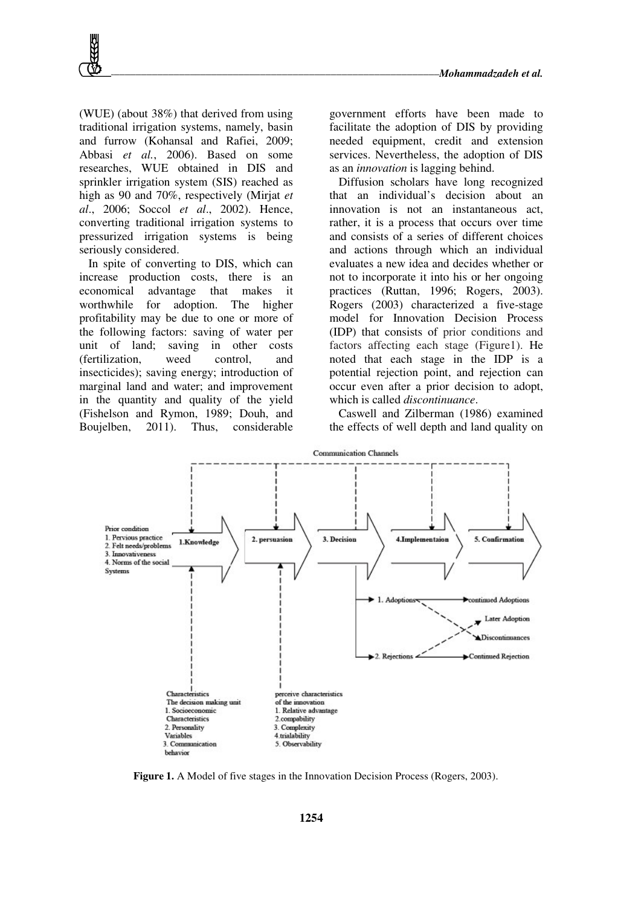(WUE) (about 38%) that derived from using traditional irrigation systems, namely, basin and furrow (Kohansal and Rafiei, 2009; Abbasi *et al.*, 2006). Based on some researches, WUE obtained in DIS and sprinkler irrigation system (SIS) reached as high as 90 and 70%, respectively (Mirjat *et al*., 2006; Soccol *et al*., 2002). Hence, converting traditional irrigation systems to pressurized irrigation systems is being seriously considered.

In spite of converting to DIS, which can increase production costs, there is an economical advantage that makes it worthwhile for adoption. The higher profitability may be due to one or more of the following factors: saving of water per unit of land; saving in other costs (fertilization, weed control, and insecticides); saving energy; introduction of marginal land and water; and improvement in the quantity and quality of the yield (Fishelson and Rymon, 1989; Douh, and Boujelben, 2011). Thus, considerable government efforts have been made to facilitate the adoption of DIS by providing needed equipment, credit and extension services. Nevertheless, the adoption of DIS as an *innovation* is lagging behind.

Diffusion scholars have long recognized that an individual's decision about an innovation is not an instantaneous act, rather, it is a process that occurs over time and consists of a series of different choices and actions through which an individual evaluates a new idea and decides whether or not to incorporate it into his or her ongoing practices (Ruttan, 1996; Rogers, 2003). Rogers (2003) characterized a five-stage model for Innovation Decision Process (IDP) that consists of prior conditions and factors affecting each stage (Figure1). He noted that each stage in the IDP is a potential rejection point, and rejection can occur even after a prior decision to adopt, which is called *discontinuance*.

Caswell and Zilberman (1986) examined the effects of well depth and land quality on



**Figure 1.** A Model of five stages in the Innovation Decision Process (Rogers, 2003).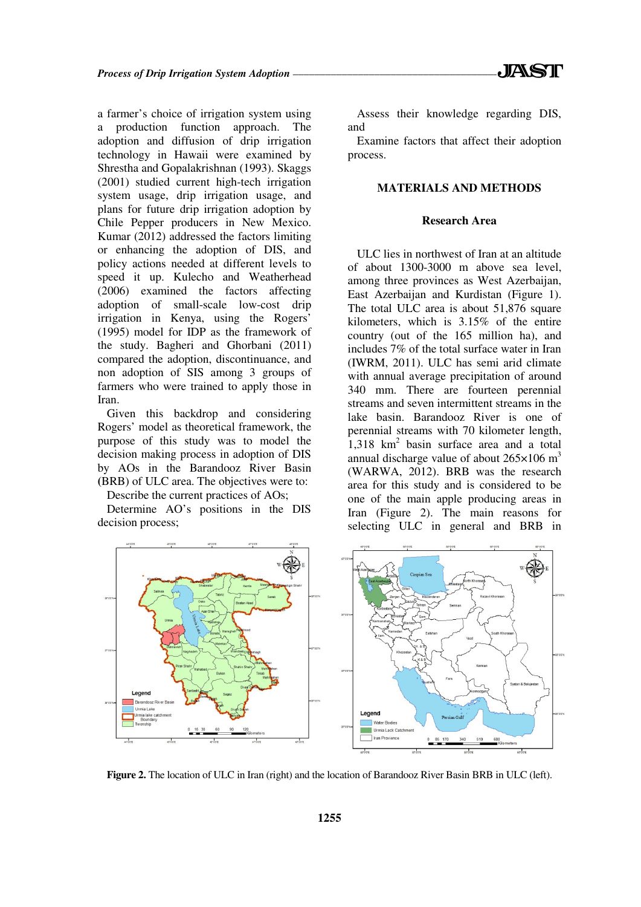a farmer's choice of irrigation system using a production function approach. The adoption and diffusion of drip irrigation technology in Hawaii were examined by Shrestha and Gopalakrishnan (1993). Skaggs (2001) studied current high-tech irrigation system usage, drip irrigation usage, and plans for future drip irrigation adoption by Chile Pepper producers in New Mexico. Kumar (2012) addressed the factors limiting or enhancing the adoption of DIS, and policy actions needed at different levels to speed it up. Kulecho and Weatherhead (2006) examined the factors affecting adoption of small-scale low-cost drip irrigation in Kenya, using the Rogers' (1995) model for IDP as the framework of the study. Bagheri and Ghorbani (2011) compared the adoption, discontinuance, and non adoption of SIS among 3 groups of farmers who were trained to apply those in Iran.

Given this backdrop and considering Rogers' model as theoretical framework, the purpose of this study was to model the decision making process in adoption of DIS by AOs in the Barandooz River Basin **(**BRB) of ULC area. The objectives were to:

Describe the current practices of AOs;

Determine AO's positions in the DIS decision process;

Assess their knowledge regarding DIS, and

Examine factors that affect their adoption process.

#### **MATERIALS AND METHODS**

#### **Research Area**

ULC lies in northwest of Iran at an altitude of about 1300-3000 m above sea level, among three provinces as West Azerbaijan, East Azerbaijan and Kurdistan (Figure 1). The total ULC area is about 51,876 square kilometers, which is 3.15% of the entire country (out of the 165 million ha), and includes 7% of the total surface water in Iran (IWRM, 2011). ULC has semi arid climate with annual average precipitation of around 340 mm. There are fourteen perennial streams and seven intermittent streams in the lake basin. Barandooz River is one of perennial streams with 70 kilometer length, 1,318 km<sup>2</sup> basin surface area and a total annual discharge value of about  $265\times106$  m<sup>3</sup> (WARWA, 2012). BRB was the research area for this study and is considered to be one of the main apple producing areas in Iran (Figure 2). The main reasons for selecting ULC in general and BRB in



**Figure 2.** The location of ULC in Iran (right) and the location of Barandooz River Basin BRB in ULC (left).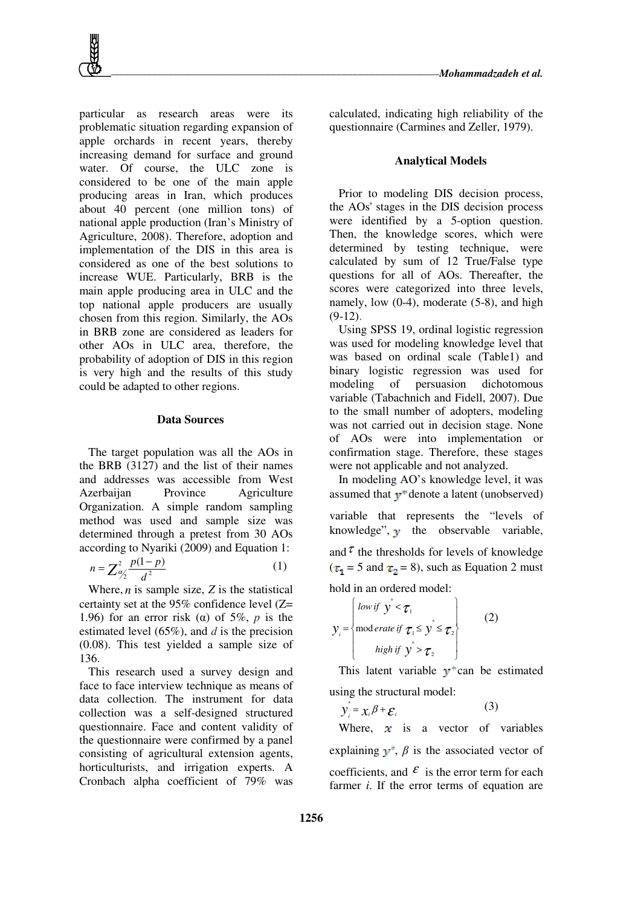particular as research areas were its problematic situation regarding expansion of apple orchards in recent years, thereby increasing demand for surface and ground water. Of course, the ULC zone is considered to be one of the main apple producing areas in Iran, which produces about 40 percent (one million tons) of national apple production (Iran's Ministry of Agriculture, 2008). Therefore, adoption and implementation of the DIS in this area is considered as one of the best solutions to increase WUE. Particularly, BRB is the main apple producing area in ULC and the top national apple producers are usually chosen from this region. Similarly, the AOs in BRB zone are considered as leaders for other AOs in ULC area, therefore, the probability of adoption of DIS in this region is very high and the results of this study could be adapted to other regions.

#### **Data Sources**

The target population was all the AOs in the BRB (3127) and the list of their names and addresses was accessible from West Azerbaijan Province Agriculture Organization. A simple random sampling method was used and sample size was determined through a pretest from 30 AOs according to Nyariki (2009) and Equation 1:

$$
n = \sum_{\frac{p}{2}}^2 \frac{p(1-p)}{d^2} \tag{1}
$$

Where,  $n$  is sample size,  $Z$  is the statistical certainty set at the 95% confidence level (Z= 1.96) for an error risk (α) of 5%, *p* is the estimated level (65%), and *d* is the precision (0.08). This test yielded a sample size of 136.

This research used a survey design and face to face interview technique as means of data collection. The instrument for data collection was a self-designed structured questionnaire. Face and content validity of the questionnaire were confirmed by a panel consisting of agricultural extension agents, horticulturists, and irrigation experts. A Cronbach alpha coefficient of 79% was calculated, indicating high reliability of the questionnaire (Carmines and Zeller, 1979).

#### **Analytical Models**

Prior to modeling DIS decision process, the AOs' stages in the DIS decision process were identified by a 5-option question. Then, the knowledge scores, which were determined by testing technique, were calculated by sum of 12 True/False type questions for all of AOs. Thereafter, the scores were categorized into three levels, namely, low (0-4), moderate (5-8), and high  $(9-12)$ .

Using SPSS 19, ordinal logistic regression was used for modeling knowledge level that was based on ordinal scale (Table1) and binary logistic regression was used for modeling of persuasion dichotomous variable (Tabachnich and Fidell, 2007). Due to the small number of adopters, modeling was not carried out in decision stage. None of AOs were into implementation or confirmation stage. Therefore, these stages were not applicable and not analyzed.

In modeling AO's knowledge level, it was assumed that  $v^*$  denote a latent (unobserved) variable that represents the "levels of knowledge",  $\mathbf{\hat{y}}$  the observable variable, and  $\tau$  the thresholds for levels of knowledge  $(\tau_1 = 5 \text{ and } \tau_2 = 8)$ , such as Equation 2 must hold in an ordered model:

$$
y_i = \begin{cases} \text{low if } y^* < \tau_1 \\ \text{mod} \text{erate if } \tau_1 \le y^* \le \tau_2 \\ \text{high if } y^* > \tau_2 \end{cases} \tag{2}
$$

This latent variable  $y^*$  can be estimated using the structural model:

$$
y_i^* = x_i \beta + \varepsilon_i \tag{3}
$$

Where,  $\mathbf{x}$  is a vector of variables explaining  $y^*$ ,  $\beta$  is the associated vector of coefficients, and  $\mathcal{E}$  is the error term for each farmer *i*. If the error terms of equation are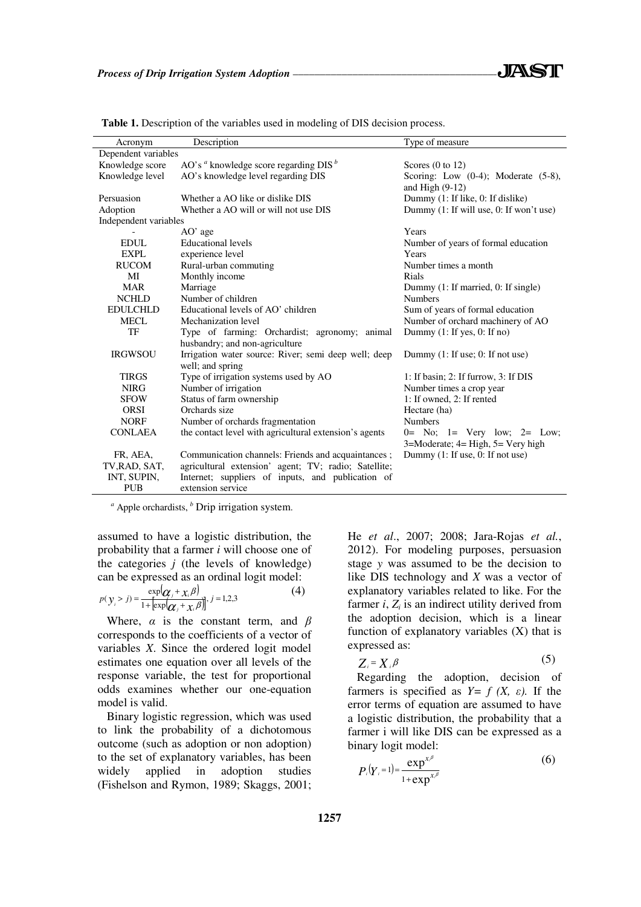| Acronym                                                                                      | Description                                            | Type of measure                             |  |  |  |
|----------------------------------------------------------------------------------------------|--------------------------------------------------------|---------------------------------------------|--|--|--|
| Dependent variables                                                                          |                                                        |                                             |  |  |  |
| AO's $a$ knowledge score regarding DIS $b$<br>Knowledge score<br>Scores $(0 \text{ to } 12)$ |                                                        |                                             |  |  |  |
| Knowledge level                                                                              | AO's knowledge level regarding DIS                     | Scoring: Low $(0-4)$ ; Moderate $(5-8)$ ,   |  |  |  |
|                                                                                              |                                                        | and High $(9-12)$                           |  |  |  |
| Persuasion                                                                                   | Whether a AO like or dislike DIS                       | Dummy (1: If like, 0: If dislike)           |  |  |  |
| Adoption                                                                                     | Whether a AO will or will not use DIS                  | Dummy (1: If will use, 0: If won't use)     |  |  |  |
| Independent variables                                                                        |                                                        |                                             |  |  |  |
|                                                                                              | $AO'$ age                                              | Years                                       |  |  |  |
| <b>EDUL</b>                                                                                  | <b>Educational levels</b>                              | Number of years of formal education         |  |  |  |
| EXPL                                                                                         | experience level                                       | Years                                       |  |  |  |
| <b>RUCOM</b>                                                                                 |                                                        | Number times a month                        |  |  |  |
|                                                                                              | Rural-urban commuting                                  | Rials                                       |  |  |  |
| MI                                                                                           | Monthly income                                         |                                             |  |  |  |
| <b>MAR</b>                                                                                   | Marriage                                               | Dummy (1: If married, 0: If single)         |  |  |  |
| <b>NCHLD</b>                                                                                 | Number of children                                     | <b>Numbers</b>                              |  |  |  |
| <b>EDULCHLD</b>                                                                              | Educational levels of AO' children                     | Sum of years of formal education            |  |  |  |
| MECL                                                                                         | Mechanization level                                    | Number of orchard machinery of AO           |  |  |  |
| TF                                                                                           | Type of farming: Orchardist; agronomy; animal          | Dummy $(1:$ If yes, $0:$ If no)             |  |  |  |
|                                                                                              | husbandry; and non-agriculture                         |                                             |  |  |  |
| <b>IRGWSOU</b>                                                                               | Irrigation water source: River; semi deep well; deep   | Dummy $(1:$ If use; 0: If not use)          |  |  |  |
|                                                                                              | well; and spring                                       |                                             |  |  |  |
| <b>TIRGS</b>                                                                                 | Type of irrigation systems used by AO                  | 1: If basin; 2: If furrow, 3: If $DIS$      |  |  |  |
| <b>NIRG</b>                                                                                  | Number of irrigation                                   | Number times a crop year                    |  |  |  |
| <b>SFOW</b>                                                                                  | Status of farm ownership                               | 1: If owned, 2: If rented                   |  |  |  |
| <b>ORSI</b>                                                                                  | Orchards size                                          | Hectare (ha)                                |  |  |  |
| <b>NORF</b>                                                                                  | Number of orchards fragmentation                       | <b>Numbers</b>                              |  |  |  |
| <b>CONLAEA</b>                                                                               | the contact level with agricultural extension's agents | $0 = No$ ; $1 = Very low$ ; $2 = Low$ ;     |  |  |  |
|                                                                                              |                                                        | $3 =$ Moderate; $4 =$ High, $5 =$ Very high |  |  |  |
| FR, AEA,                                                                                     | Communication channels: Friends and acquaintances;     | Dummy $(1:$ If use, 0: If not use)          |  |  |  |
| TV, RAD, SAT,                                                                                | agricultural extension' agent; TV; radio; Satellite;   |                                             |  |  |  |
| INT, SUPIN,                                                                                  | Internet; suppliers of inputs, and publication of      |                                             |  |  |  |
| <b>PUB</b>                                                                                   | extension service                                      |                                             |  |  |  |

Table 1. Description of the variables used in modeling of DIS decision process.

*a* Apple orchardists, *<sup>b</sup>* Drip irrigation system.

assumed to have a logistic distribution, the probability that a farmer *i* will choose one of the categories *j* (the levels of knowledge) can be expressed as an ordinal logit model:

$$
p(y_i > j) = \frac{\exp(\pmb{\alpha}_j + x_i \beta)}{1 + [\exp(\pmb{\alpha}_j + x_i \beta)]}, j = 1, 2, 3
$$
 (4)

Where,  $\alpha$  is the constant term, and  $\beta$ corresponds to the coefficients of a vector of variables *X*. Since the ordered logit model estimates one equation over all levels of the response variable, the test for proportional odds examines whether our one-equation model is valid.

Binary logistic regression, which was used to link the probability of a dichotomous outcome (such as adoption or non adoption) to the set of explanatory variables, has been<br>widely applied in adoption studies widely applied in adoption studies (Fishelson and Rymon, 1989; Skaggs, 2001; He *et al*., 2007; 2008; Jara-Rojas *et al.*, 2012). For modeling purposes, persuasion stage *y* was assumed to be the decision to like DIS technology and *X* was a vector of explanatory variables related to like. For the farmer  $i$ ,  $Z_i$  is an indirect utility derived from the adoption decision, which is a linear function of explanatory variables (X) that is expressed as:

$$
Z_i = X_i \beta \tag{5}
$$

Regarding the adoption, decision of farmers is specified as  $Y = f(X, \varepsilon)$ . If the error terms of equation are assumed to have a logistic distribution, the probability that a farmer i will like DIS can be expressed as a binary logit model:

$$
P_i(Y_i=1) = \frac{\exp^{x_i \beta}}{1 + \exp^{x_i \beta}}
$$
 (6)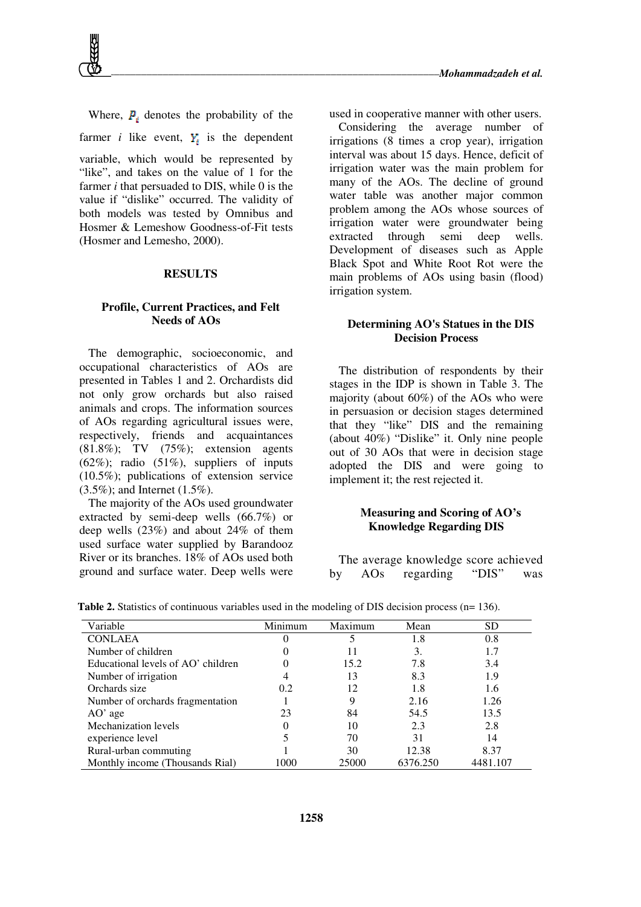

Where,  $P_i$  denotes the probability of the farmer *i* like event,  $Y_i$  is the dependent variable, which would be represented by "like", and takes on the value of 1 for the farmer *i* that persuaded to DIS, while 0 is the value if "dislike" occurred. The validity of both models was tested by Omnibus and Hosmer & Lemeshow Goodness-of-Fit tests (Hosmer and Lemesho, 2000).

#### **RESULTS**

#### **Profile, Current Practices, and Felt Needs of AOs**

The demographic, socioeconomic, and occupational characteristics of AOs are presented in Tables 1 and 2. Orchardists did not only grow orchards but also raised animals and crops. The information sources of AOs regarding agricultural issues were, respectively, friends and acquaintances (81.8%); TV (75%); extension agents  $(62\%)$ ; radio  $(51\%)$ , suppliers of inputs (10.5%); publications of extension service (3.5%); and Internet (1.5%).

The majority of the AOs used groundwater extracted by semi-deep wells (66.7%) or deep wells (23%) and about 24% of them used surface water supplied by Barandooz River or its branches. 18% of AOs used both ground and surface water. Deep wells were

used in cooperative manner with other users. Considering the average number of irrigations (8 times a crop year), irrigation interval was about 15 days. Hence, deficit of irrigation water was the main problem for many of the AOs. The decline of ground water table was another major common problem among the AOs whose sources of irrigation water were groundwater being extracted through semi deep wells. Development of diseases such as Apple Black Spot and White Root Rot were the

#### **Determining AO's Statues in the DIS Decision Process**

main problems of AOs using basin (flood)

irrigation system.

The distribution of respondents by their stages in the IDP is shown in Table 3. The majority (about 60%) of the AOs who were in persuasion or decision stages determined that they "like" DIS and the remaining (about 40%) "Dislike" it. Only nine people out of 30 AOs that were in decision stage adopted the DIS and were going to implement it; the rest rejected it.

## **Measuring and Scoring of AO's Knowledge Regarding DIS**

The average knowledge score achieved by AOs regarding "DIS" was

| Variable                           | Minimum | Maximum | Mean     | SD       |
|------------------------------------|---------|---------|----------|----------|
| <b>CONLAEA</b>                     |         |         | 1.8      | 0.8      |
| Number of children                 |         |         | 3.       | 1.7      |
| Educational levels of AO' children |         | 15.2    | 7.8      | 3.4      |
| Number of irrigation               |         | 13      | 8.3      | 1.9      |
| Orchards size                      | 0.2     | 12      | 1.8      | 1.6      |
| Number of orchards fragmentation   |         | 9       | 2.16     | 1.26     |
| $AO'$ age                          | 23      | 84      | 54.5     | 13.5     |
| Mechanization levels               |         | 10      | 2.3      | 2.8      |
| experience level                   |         | 70      | 31       | 14       |
| Rural-urban commuting              |         | 30      | 12.38    | 8.37     |
| Monthly income (Thousands Rial)    | 1000    | 25000   | 6376.250 | 4481.107 |

**Table 2.** Statistics of continuous variables used in the modeling of DIS decision process (n= 136).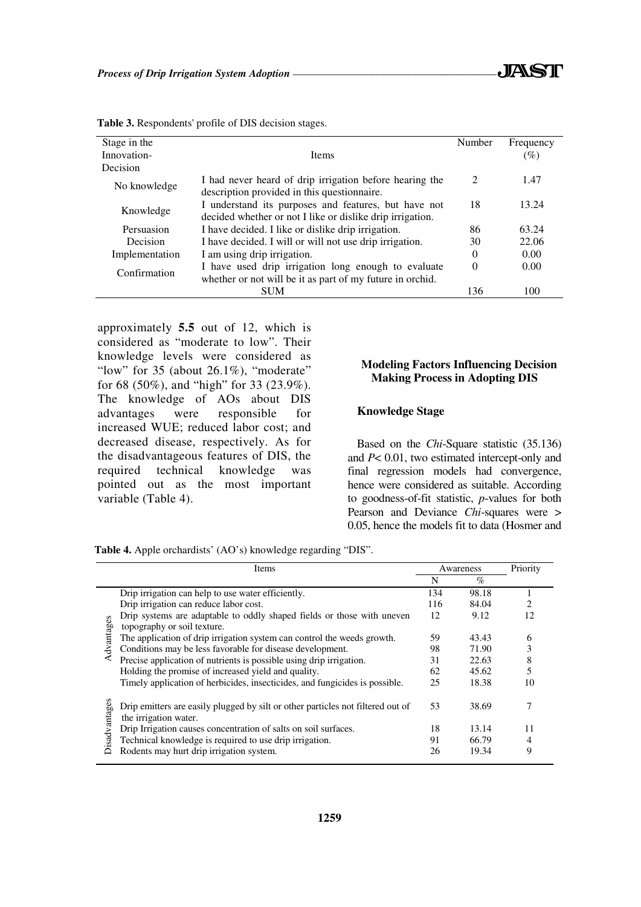| Stage in the                                                                                                                   |                                                                                                        | Number                      | Frequency |
|--------------------------------------------------------------------------------------------------------------------------------|--------------------------------------------------------------------------------------------------------|-----------------------------|-----------|
| Innovation-                                                                                                                    | <b>Items</b>                                                                                           |                             | $(\%)$    |
| Decision                                                                                                                       |                                                                                                        |                             |           |
| No knowledge                                                                                                                   | I had never heard of drip irrigation before hearing the<br>description provided in this questionnaire. | $\mathcal{D}_{\mathcal{L}}$ | 1.47      |
| I understand its purposes and features, but have not<br>Knowledge<br>decided whether or not I like or dislike drip irrigation. |                                                                                                        | 18                          | 13.24     |
| Persuasion                                                                                                                     | I have decided. I like or dislike drip irrigation.                                                     | 86                          | 63.24     |
| Decision                                                                                                                       | I have decided. I will or will not use drip irrigation.                                                | 30                          | 22.06     |
| Implementation                                                                                                                 | I am using drip irrigation.                                                                            | $\Omega$                    | 0.00      |
| Confirmation                                                                                                                   | I have used drip irrigation long enough to evaluate                                                    | 0                           | 0.00      |
|                                                                                                                                | whether or not will be it as part of my future in orchid.                                              |                             |           |
|                                                                                                                                | <b>SUM</b>                                                                                             | 136                         | 100       |

**Table 3.** Respondents' profile of DIS decision stages.

approximately **5.5** out of 12, which is considered as "moderate to low". Their knowledge levels were considered as "low" for  $35$  (about  $26.1\%$ ), "moderate" for 68 (50%), and "high" for 33 (23.9%). The knowledge of AOs about DIS advantages were responsible for increased WUE; reduced labor cost; and decreased disease, respectively. As for the disadvantageous features of DIS, the required technical knowledge was pointed out as the most important variable (Table 4).

## **Modeling Factors Influencing Decision Making Process in Adopting DIS**

#### **Knowledge Stage**

Based on the *Chi*-Square statistic (35.136) and *P*< 0.01, two estimated intercept-only and final regression models had convergence, hence were considered as suitable. According to goodness-of-fit statistic, *p*-values for both Pearson and Deviance *Chi*-squares were > 0.05, hence the models fit to data (Hosmer and

**Table 4.** Apple orchardists' (AO's) knowledge regarding "DIS".

|               | Items                                                                                                    | Awareness |       | Priority |
|---------------|----------------------------------------------------------------------------------------------------------|-----------|-------|----------|
|               |                                                                                                          | N         | $\%$  |          |
| Advantages    | Drip irrigation can help to use water efficiently.                                                       | 134       | 98.18 |          |
|               | Drip irrigation can reduce labor cost.                                                                   | 116       | 84.04 |          |
|               | Drip systems are adaptable to oddly shaped fields or those with uneven                                   | 12        | 9.12  | 12       |
|               | topography or soil texture.                                                                              |           |       |          |
|               | The application of drip irrigation system can control the weeds growth.                                  | 59        | 43.43 | 6        |
|               | Conditions may be less favorable for disease development.                                                | 98        | 71.90 | 3        |
|               | Precise application of nutrients is possible using drip irrigation.                                      | 31        | 22.63 | 8        |
|               | Holding the promise of increased yield and quality.                                                      | 62        | 45.62 |          |
|               | Timely application of herbicides, insecticides, and fungicides is possible.                              | 25        | 18.38 | 10       |
| Disadvantages | Drip emitters are easily plugged by silt or other particles not filtered out of<br>the irrigation water. | 53        | 38.69 | 7        |
|               | Drip Irrigation causes concentration of salts on soil surfaces.                                          | 18        | 13.14 | 11       |
|               | Technical knowledge is required to use drip irrigation.                                                  | 91        | 66.79 |          |
|               | Rodents may hurt drip irrigation system.                                                                 | 26        | 19.34 | 9        |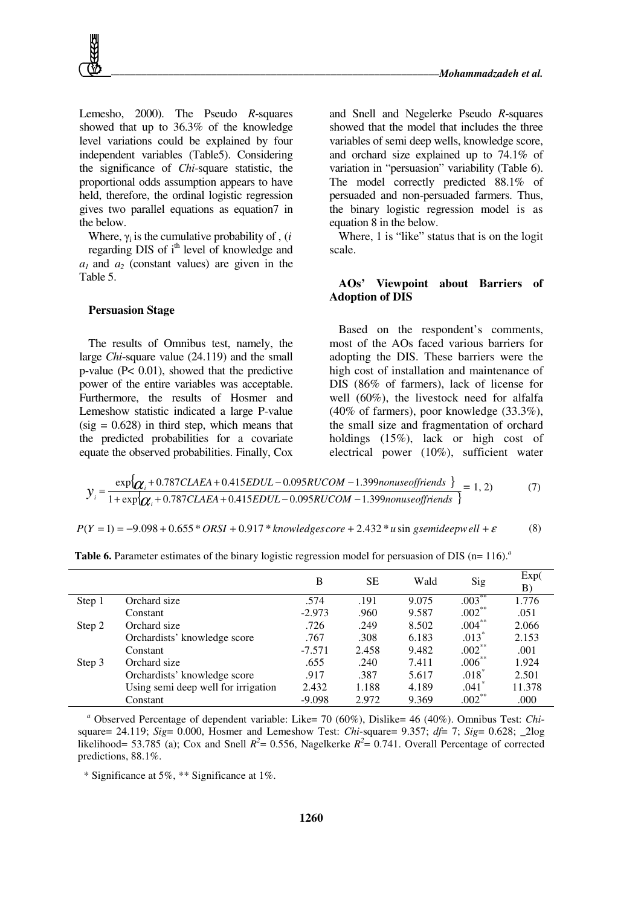

Lemesho, 2000). The Pseudo *R*-squares showed that up to 36.3% of the knowledge level variations could be explained by four independent variables (Table5). Considering the significance of *Chi*-square statistic, the proportional odds assumption appears to have held, therefore, the ordinal logistic regression gives two parallel equations as equation7 in the below.

Where,  $\gamma_i$  is the cumulative probability of , (*i* regarding DIS of i<sup>th</sup> level of knowledge and  $a_1$  and  $a_2$  (constant values) are given in the Table 5.

#### **Persuasion Stage**

The results of Omnibus test, namely, the large *Chi*-square value (24.119) and the small p-value (P< 0.01), showed that the predictive power of the entire variables was acceptable. Furthermore, the results of Hosmer and Lemeshow statistic indicated a large P-value  $(sig = 0.628)$  in third step, which means that the predicted probabilities for a covariate equate the observed probabilities. Finally, Cox

and Snell and Negelerke Pseudo *R*-squares showed that the model that includes the three variables of semi deep wells, knowledge score, and orchard size explained up to 74.1% of variation in "persuasion" variability (Table 6). The model correctly predicted 88.1% of persuaded and non-persuaded farmers. Thus, the binary logistic regression model is as equation 8 in the below.

Where, 1 is "like" status that is on the logit scale.

#### **AOs' Viewpoint about Barriers of Adoption of DIS**

Based on the respondent's comments, most of the AOs faced various barriers for adopting the DIS. These barriers were the high cost of installation and maintenance of DIS (86% of farmers), lack of license for well (60%), the livestock need for alfalfa (40% of farmers), poor knowledge (33.3%), the small size and fragmentation of orchard holdings (15%), lack or high cost of electrical power (10%), sufficient water

$$
y_i = \frac{\exp{\{\alpha_i + 0.787CLAEA + 0.415EDUL - 0.095RUCOM - 1.399nonuseoffriends\}}}{1 + \exp{\{\alpha_i + 0.787CLAEA + 0.415EDUL - 0.095RUCOM - 1.399nonuseoffriends\}}} = 1, 2)
$$
(7)

 $P(Y = 1) = -9.098 + 0.655 * ORSI + 0.917 * knowledge score + 2.432 * u sin gsemideepwell + \varepsilon$  (8)

|        |                                     | B        | SЕ    | Wald  | Sig       | Exp(<br>B) |
|--------|-------------------------------------|----------|-------|-------|-----------|------------|
| Step 1 | Orchard size                        | .574     | .191  | 9.075 | $.003***$ | 1.776      |
|        | Constant                            | $-2.973$ | .960  | 9.587 | $.002***$ | .051       |
| Step 2 | Orchard size                        | .726     | .249  | 8.502 | $.004***$ | 2.066      |
|        | Orchardists' knowledge score        | .767     | .308  | 6.183 | $.013*$   | 2.153      |
|        | Constant                            | $-7.571$ | 2.458 | 9.482 | $.002***$ | .001       |
| Step 3 | Orchard size                        | .655     | .240  | 7.411 | $.006***$ | 1.924      |
|        | Orchardists' knowledge score        | .917     | .387  | 5.617 | $.018*$   | 2.501      |
|        | Using semi deep well for irrigation | 2.432    | 1.188 | 4.189 | $.041*$   | 11.378     |
|        | Constant                            | $-9.098$ | 2.972 | 9.369 | $.002***$ | .000       |

**Table 6.** Parameter estimates of the binary logistic regression model for persuasion of DIS (n= 116).<sup>*a*</sup>

*a* Observed Percentage of dependent variable: Like= 70 (60%), Dislike= 46 (40%). Omnibus Test: *Chi*square= 24.119;  $Sig = 0.000$ , Hosmer and Lemeshow Test: *Chi*-square= 9.357;  $df = 7$ ;  $Sig = 0.628$ ; 2log likelihood= 53.785 (a); Cox and Snell  $R^2$ = 0.556, Nagelkerke  $R^2$ = 0.741. Overall Percentage of corrected predictions, 88.1%.

\* Significance at 5%, \*\* Significance at 1%.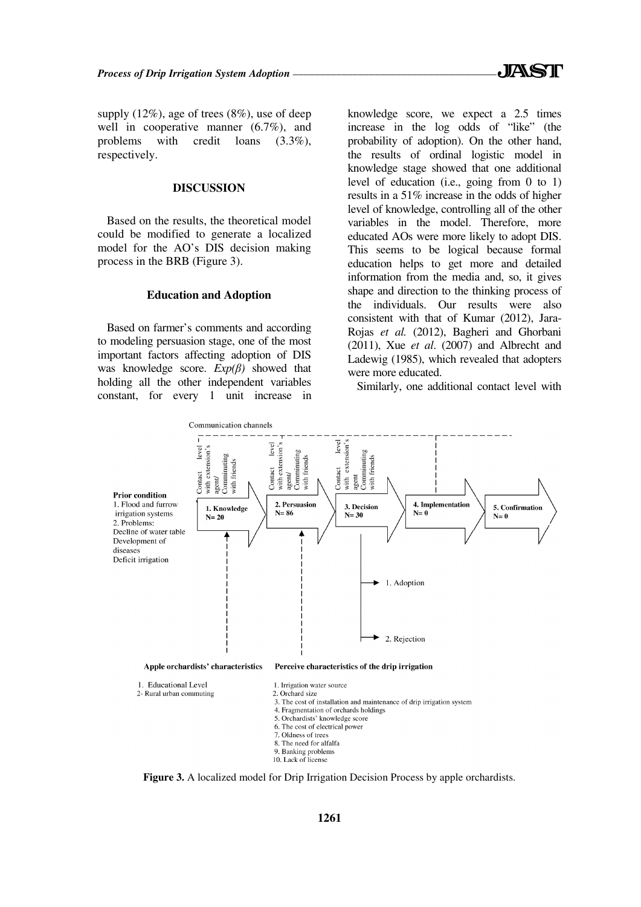supply (12%), age of trees (8%), use of deep well in cooperative manner (6.7%), and problems with credit loans (3.3%), respectively.

#### **DISCUSSION**

Based on the results, the theoretical model could be modified to generate a localized model for the AO's DIS decision making process in the BRB (Figure 3).

#### **Education and Adoption**

Based on farmer's comments and according to modeling persuasion stage, one of the most important factors affecting adoption of DIS was knowledge score.  $Exp(\beta)$  showed that holding all the other independent variables constant, for every 1 unit increase in knowledge score, we expect a 2.5 times increase in the log odds of "like" (the probability of adoption). On the other hand, the results of ordinal logistic model in knowledge stage showed that one additional level of education (i.e., going from 0 to 1) results in a 51% increase in the odds of higher level of knowledge, controlling all of the other variables in the model. Therefore, more educated AOs were more likely to adopt DIS. This seems to be logical because formal education helps to get more and detailed information from the media and, so, it gives shape and direction to the thinking process of the individuals. Our results were also consistent with that of Kumar (2012), Jara-Rojas *et al.* (2012), Bagheri and Ghorbani (2011), Xue *et al*. (2007) and Albrecht and Ladewig (1985), which revealed that adopters were more educated.

Similarly, one additional contact level with



**Figure 3.** A localized model for Drip Irrigation Decision Process by apple orchardists.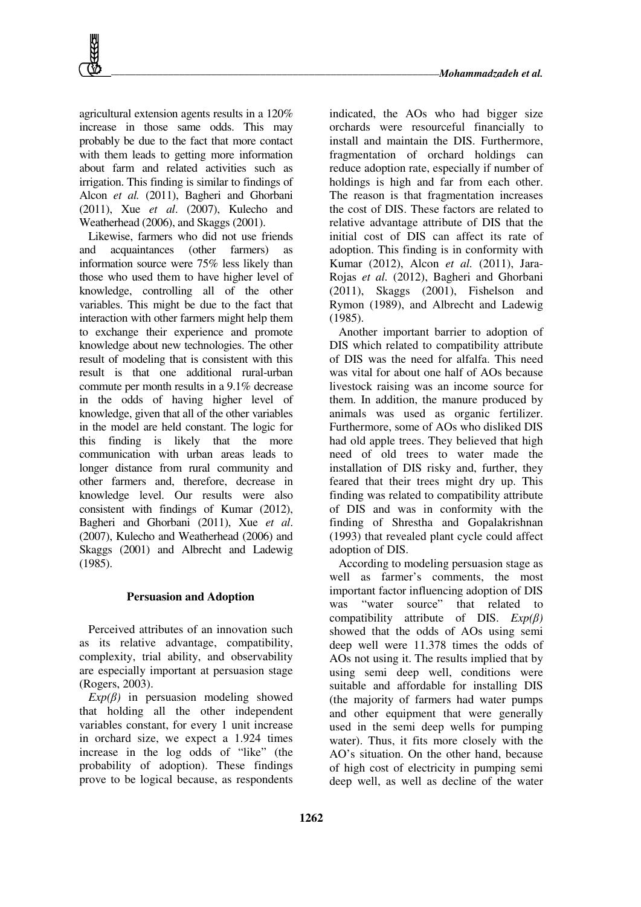

agricultural extension agents results in a 120% increase in those same odds. This may probably be due to the fact that more contact with them leads to getting more information about farm and related activities such as irrigation. This finding is similar to findings of Alcon *et al.* (2011), Bagheri and Ghorbani (2011), Xue *et al*. (2007), Kulecho and Weatherhead (2006), and Skaggs (2001).

Likewise, farmers who did not use friends and acquaintances (other farmers) as information source were 75% less likely than those who used them to have higher level of knowledge, controlling all of the other variables. This might be due to the fact that interaction with other farmers might help them to exchange their experience and promote knowledge about new technologies. The other result of modeling that is consistent with this result is that one additional rural-urban commute per month results in a 9.1% decrease in the odds of having higher level of knowledge, given that all of the other variables in the model are held constant. The logic for this finding is likely that the more communication with urban areas leads to longer distance from rural community and other farmers and, therefore, decrease in knowledge level. Our results were also consistent with findings of Kumar (2012), Bagheri and Ghorbani (2011), Xue *et al*. (2007), Kulecho and Weatherhead (2006) and Skaggs (2001) and Albrecht and Ladewig (1985).

#### **Persuasion and Adoption**

Perceived attributes of an innovation such as its relative advantage, compatibility, complexity, trial ability, and observability are especially important at persuasion stage (Rogers, 2003).

 $Exp(\beta)$  in persuasion modeling showed that holding all the other independent variables constant, for every 1 unit increase in orchard size, we expect a 1.924 times increase in the log odds of "like" (the probability of adoption). These findings prove to be logical because, as respondents indicated, the AOs who had bigger size orchards were resourceful financially to install and maintain the DIS. Furthermore, fragmentation of orchard holdings can reduce adoption rate, especially if number of holdings is high and far from each other. The reason is that fragmentation increases the cost of DIS. These factors are related to relative advantage attribute of DIS that the initial cost of DIS can affect its rate of adoption. This finding is in conformity with Kumar (2012), Alcon *et al.* (2011), Jara-Rojas *et al.* (2012), Bagheri and Ghorbani (2011), Skaggs (2001), Fishelson and Rymon (1989), and Albrecht and Ladewig (1985).

Another important barrier to adoption of DIS which related to compatibility attribute of DIS was the need for alfalfa. This need was vital for about one half of AOs because livestock raising was an income source for them. In addition, the manure produced by animals was used as organic fertilizer. Furthermore, some of AOs who disliked DIS had old apple trees. They believed that high need of old trees to water made the installation of DIS risky and, further, they feared that their trees might dry up. This finding was related to compatibility attribute of DIS and was in conformity with the finding of Shrestha and Gopalakrishnan (1993) that revealed plant cycle could affect adoption of DIS.

According to modeling persuasion stage as well as farmer's comments, the most important factor influencing adoption of DIS was "water source" that related to compatibility attribute of DIS. *Exp(*β*)* showed that the odds of AOs using semi deep well were 11.378 times the odds of AOs not using it. The results implied that by using semi deep well, conditions were suitable and affordable for installing DIS (the majority of farmers had water pumps and other equipment that were generally used in the semi deep wells for pumping water). Thus, it fits more closely with the AO's situation. On the other hand, because of high cost of electricity in pumping semi deep well, as well as decline of the water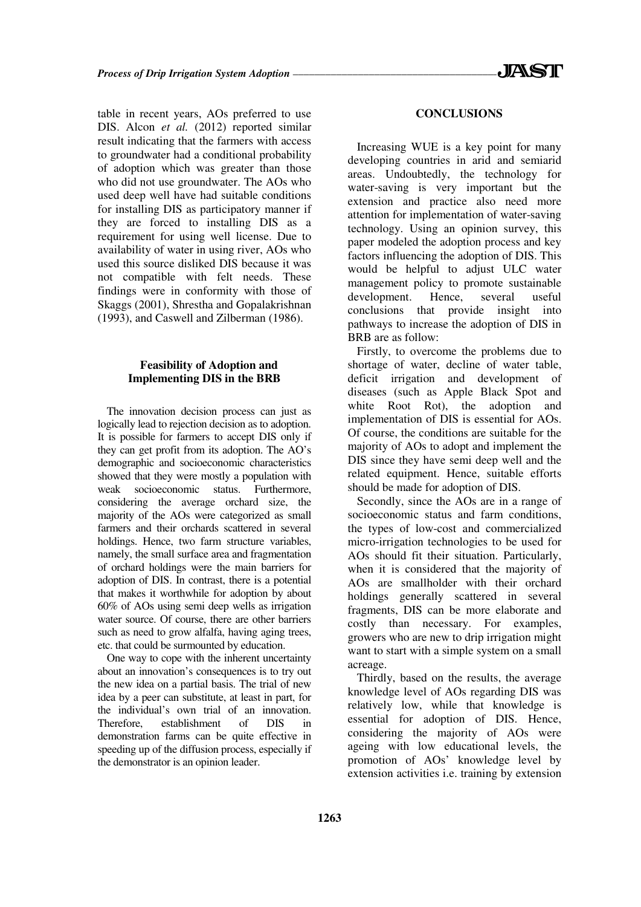table in recent years, AOs preferred to use DIS. Alcon *et al.* (2012) reported similar result indicating that the farmers with access to groundwater had a conditional probability of adoption which was greater than those who did not use groundwater. The AOs who used deep well have had suitable conditions for installing DIS as participatory manner if they are forced to installing DIS as a requirement for using well license. Due to availability of water in using river, AOs who used this source disliked DIS because it was not compatible with felt needs. These findings were in conformity with those of Skaggs (2001), Shrestha and Gopalakrishnan (1993), and Caswell and Zilberman (1986).

## **Feasibility of Adoption and Implementing DIS in the BRB**

The innovation decision process can just as logically lead to rejection decision as to adoption. It is possible for farmers to accept DIS only if they can get profit from its adoption. The AO's demographic and socioeconomic characteristics showed that they were mostly a population with weak socioeconomic status. Furthermore, considering the average orchard size, the majority of the AOs were categorized as small farmers and their orchards scattered in several holdings. Hence, two farm structure variables, namely, the small surface area and fragmentation of orchard holdings were the main barriers for adoption of DIS. In contrast, there is a potential that makes it worthwhile for adoption by about 60% of AOs using semi deep wells as irrigation water source. Of course, there are other barriers such as need to grow alfalfa, having aging trees, etc. that could be surmounted by education.

One way to cope with the inherent uncertainty about an innovation's consequences is to try out the new idea on a partial basis. The trial of new idea by a peer can substitute, at least in part, for the individual's own trial of an innovation. Therefore, establishment of DIS in demonstration farms can be quite effective in speeding up of the diffusion process, especially if the demonstrator is an opinion leader.

#### **CONCLUSIONS**

Increasing WUE is a key point for many developing countries in arid and semiarid areas. Undoubtedly, the technology for water-saving is very important but the extension and practice also need more attention for implementation of water-saving technology. Using an opinion survey, this paper modeled the adoption process and key factors influencing the adoption of DIS. This would be helpful to adjust ULC water management policy to promote sustainable development. Hence, several useful conclusions that provide insight into pathways to increase the adoption of DIS in BRB are as follow:

Firstly, to overcome the problems due to shortage of water, decline of water table, deficit irrigation and development of diseases (such as Apple Black Spot and white Root Rot), the adoption and implementation of DIS is essential for AOs. Of course, the conditions are suitable for the majority of AOs to adopt and implement the DIS since they have semi deep well and the related equipment. Hence, suitable efforts should be made for adoption of DIS.

Secondly, since the AOs are in a range of socioeconomic status and farm conditions, the types of low-cost and commercialized micro-irrigation technologies to be used for AOs should fit their situation. Particularly, when it is considered that the majority of AOs are smallholder with their orchard holdings generally scattered in several fragments, DIS can be more elaborate and costly than necessary. For examples, growers who are new to drip irrigation might want to start with a simple system on a small acreage.

Thirdly, based on the results, the average knowledge level of AOs regarding DIS was relatively low, while that knowledge is essential for adoption of DIS. Hence, considering the majority of AOs were ageing with low educational levels, the promotion of AOs' knowledge level by extension activities i.e. training by extension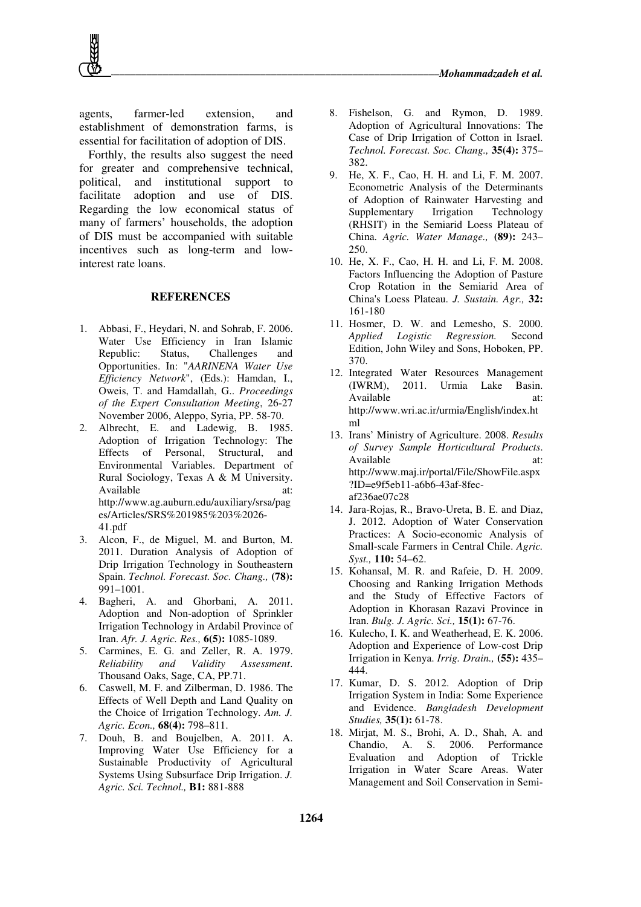agents, farmer-led extension, and establishment of demonstration farms, is essential for facilitation of adoption of DIS.

Forthly, the results also suggest the need for greater and comprehensive technical, political, and institutional support to facilitate adoption and use of DIS. Regarding the low economical status of many of farmers' households, the adoption of DIS must be accompanied with suitable incentives such as long-term and lowinterest rate loans.

#### **REFERENCES**

- 1. Abbasi, F., Heydari, N. and Sohrab, F. 2006. Water Use Efficiency in Iran Islamic Republic: Status, Challenges and Opportunities. In: "*AARINENA Water Use Efficiency Network*", (Eds.): Hamdan, I., Oweis, T. and Hamdallah, G.. *Proceedings of the Expert Consultation Meeting*, 26-27 November 2006, Aleppo, Syria, PP. 58-70.
- 2. Albrecht, E. and Ladewig, B. 1985. Adoption of Irrigation Technology: The Effects of Personal, Structural, and Environmental Variables. Department of Rural Sociology, Texas A & M University. Available at: http://www.ag.auburn.edu/auxiliary/srsa/pag es/Articles/SRS%201985%203%2026- 41.pdf
- 3. Alcon, F., de Miguel, M. and Burton, M. 2011. Duration Analysis of Adoption of Drip Irrigation Technology in Southeastern Spain. *Technol. Forecast. Soc. Chang.,* **(78):** 991–1001.
- 4. Bagheri, A. and Ghorbani, A. 2011. Adoption and Non-adoption of Sprinkler Irrigation Technology in Ardabil Province of Iran. *Afr. J. Agric. Res.,* **6(5):** 1085-1089.
- 5. Carmines, E. G. and Zeller, R. A. 1979. *Reliability and Validity Assessment*. Thousand Oaks, Sage, CA, PP.71.
- 6. Caswell, M. F. and Zilberman, D. 1986. The Effects of Well Depth and Land Quality on the Choice of Irrigation Technology. *Am. J. Agric. Econ.,* **68(4):** 798–811.
- 7. Douh, B. and Boujelben, A. 2011. A. Improving Water Use Efficiency for a Sustainable Productivity of Agricultural Systems Using Subsurface Drip Irrigation. *J. Agric. Sci. Technol.,* **B1:** 881-888
- 8. Fishelson, G. and Rymon, D. 1989. Adoption of Agricultural Innovations: The Case of Drip Irrigation of Cotton in Israel. *Technol. Forecast. Soc. Chang.,* **35(4):** 375– 382.
- 9. He, X. F., Cao, H. H. and Li, F. M. 2007. Econometric Analysis of the Determinants of Adoption of Rainwater Harvesting and Supplementary Irrigation Technology (RHSIT) in the Semiarid Loess Plateau of China. *Agric. Water Manage.,* **(89):** 243– 250.
- 10. He, X. F., Cao, H. H. and Li, F. M. 2008. Factors Influencing the Adoption of Pasture Crop Rotation in the Semiarid Area of China's Loess Plateau. *J. Sustain. Agr.,* **32:** 161-180
- 11. Hosmer, D. W. and Lemesho, S. 2000. *Applied Logistic Regression.* Second Edition, John Wiley and Sons, Hoboken, PP. 370.
- 12. Integrated Water Resources Management (IWRM), 2011. Urmia Lake Basin. Available at: http://www.wri.ac.ir/urmia/English/index.ht ml
- 13. Irans' Ministry of Agriculture. 2008. *Results of Survey Sample Horticultural Products*. Available at: http://www.maj.ir/portal/File/ShowFile.aspx ?ID=e9f5eb11-a6b6-43af-8fecaf236ae07c28
- 14. Jara-Rojas, R., Bravo-Ureta, B. E. and Diaz, J. 2012. Adoption of Water Conservation Practices: A Socio-economic Analysis of Small-scale Farmers in Central Chile. *Agric. Syst.,* **110:** 54–62.
- 15. Kohansal, M. R. and Rafeie, D. H. 2009. Choosing and Ranking Irrigation Methods and the Study of Effective Factors of Adoption in Khorasan Razavi Province in Iran. *Bulg. J. Agric. Sci.,* **15(1):** 67-76.
- 16. Kulecho, I. K. and Weatherhead, E. K. 2006. Adoption and Experience of Low-cost Drip Irrigation in Kenya. *Irrig. Drain.,* **(55):** 435– 444.
- 17. Kumar, D. S. 2012. Adoption of Drip Irrigation System in India: Some Experience and Evidence. *Bangladesh Development Studies,* **35(1):** 61-78.
- 18. Mirjat, M. S., Brohi, A. D., Shah, A. and Chandio, A. S. 2006. Performance Evaluation and Adoption of Trickle Irrigation in Water Scare Areas. Water Management and Soil Conservation in Semi-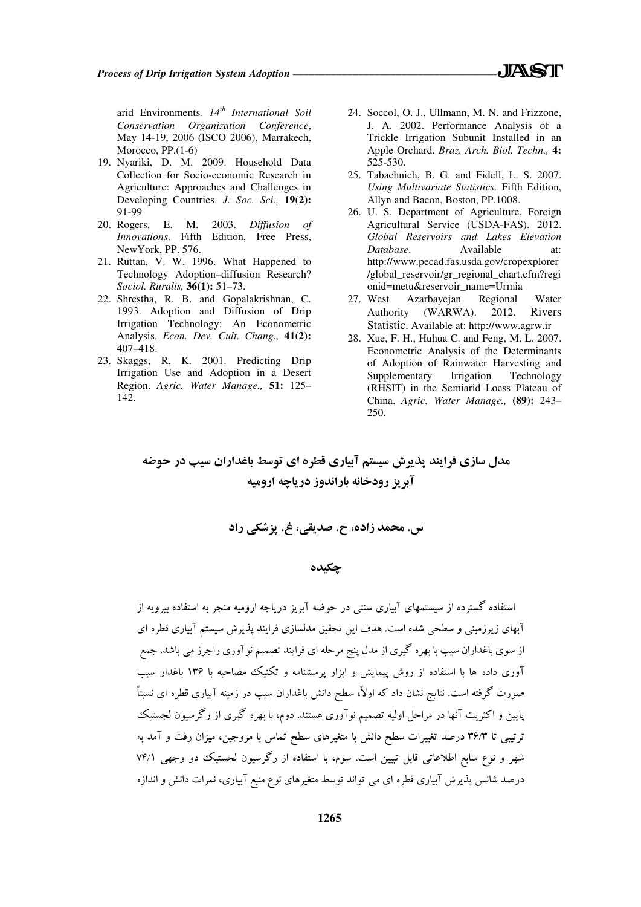- 19. Nyariki, D. M. 2009. Household Data Collection for Socio-economic Research in Agriculture: Approaches and Challenges in Developing Countries. *J. Soc. Sci.,* **19(2):** 91-99
- 20. Rogers, E. M. 2003. *Diffusion of Innovations*. Fifth Edition, Free Press, NewYork, PP. 576.
- 21. Ruttan, V. W. 1996. What Happened to Technology Adoption–diffusion Research? *Sociol. Ruralis,* **36(1):** 51–73.
- 22. Shrestha, R. B. and Gopalakrishnan, C. 1993. Adoption and Diffusion of Drip Irrigation Technology: An Econometric Analysis. *Econ. Dev. Cult. Chang.,* **41(2):** 407–418.
- 23. Skaggs, R. K. 2001. Predicting Drip Irrigation Use and Adoption in a Desert Region. *Agric. Water Manage.,* **51:** 125– 142.
- 24. Soccol, O. J., Ullmann, M. N. and Frizzone, J. A. 2002. Performance Analysis of a Trickle Irrigation Subunit Installed in an Apple Orchard. *Braz. Arch. Biol. Techn.,* **4:** 525-530.
- 25. Tabachnich, B. G. and Fidell, L. S. 2007. *Using Multivariate Statistics.* Fifth Edition, Allyn and Bacon, Boston, PP.1008.
- 26. U. S. Department of Agriculture, Foreign Agricultural Service (USDA-FAS). 2012. *Global Reservoirs and Lakes Elevation Database*. Available at: http://www.pecad.fas.usda.gov/cropexplorer /global\_reservoir/gr\_regional\_chart.cfm?regi onid=metu&reservoir\_name=Urmia
- 27. West Azarbayejan Regional Water Authority (WARWA). 2012. Rivers Statistic. Available at: http://www.agrw.ir
- 28. Xue, F. H., Huhua C. and Feng, M. L. 2007. Econometric Analysis of the Determinants of Adoption of Rainwater Harvesting and Supplementary Irrigation Technology (RHSIT) in the Semiarid Loess Plateau of China. *Agric. Water Manage.,* **(89):** 243– 250.

مدل سازي فرايند پذيرش سيستم آبياري قطره اي توسط باغداران سيب در حوضه آبريز رودخانه باراندوز درياچه اروميه

س. محمد زاده، ح. صديقي، غ. پزشكي راد

## چكيده

استفاده گسترده از سيستمهاي آبياري سنتي در حوضه آبريز درياجه اروميه منجر به استفاده بيرويه از آبهاي زيرزميني و سطحي شده است. هدف اين تحقيق مدلسازي فرايند پذيرش سيستم آبياري قطره اي از سوي باغداران سيب با بهره گيري از مدل پنج مرحله اي فرايند تصميم نوآوري را جرز مي باشد. جمع آوری داده ها با استفاده از روش پيمايش و ابزار پرسشنامه و تكنيك مصاحبه با ۱۳۶ باغدار سيب صورت گرفته است. نتايج نشان داد كه اولا،ً سطح دانش باغداران سيب در زمينه آبياري قطره اي نسبتاً پايين و اكثريت آنها در مراحل اوليه تصميم نوآوري هستند. دوم، با بهره گيري از رگرسيون لجستيك ترتيبي 3/ تا 36 درصد تغييرات سطح دانش با متغيرهاي سطح تماس با مروجين، ميزان رفت و آمد به شهر و نوع منابع اطلاعاتي قابل تبيين است. سوم، با استفاده از رگرسيون لجستيك دو وجهي 1/ 74 درصد شانس پذيرش آبياري قطره اي مي تواند توسط متغيرهاي نوع منبع آبياري، نمرات دانش و اندازه